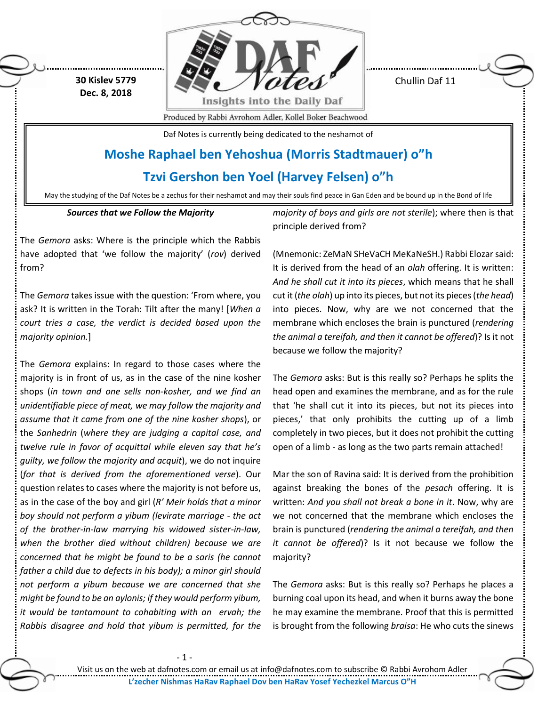**30 Kislev 5779 Dec. 8, 2018**



Chullin Daf 11

Produced by Rabbi Avrohom Adler, Kollel Boker Beachwood

Daf Notes is currently being dedicated to the neshamot of

# **Moshe Raphael ben Yehoshua (Morris Stadtmauer) o"h**

**Tzvi Gershon ben Yoel (Harvey Felsen) o"h**

May the studying of the Daf Notes be a zechus for their neshamot and may their souls find peace in Gan Eden and be bound up in the Bond of life

# *Sources that we Follow the Majority*

The *Gemora* asks: Where is the principle which the Rabbis have adopted that 'we follow the majority' (*rov*) derived from?

The *Gemora* takes issue with the question: 'From where, you ask? It is written in the Torah: Tilt after the many! [*When a court tries a case, the verdict is decided based upon the majority opinion.*]

The *Gemora* explains: In regard to those cases where the majority is in front of us, as in the case of the nine kosher shops (*in town and one sells non-kosher, and we find an unidentifiable piece of meat, we may follow the majority and assume that it came from one of the nine kosher shops*), or the *Sanhedrin* (*where they are judging a capital case, and twelve rule in favor of acquittal while eleven say that he's guilty, we follow the majority and acquit*), we do not inquire (*for that is derived from the aforementioned verse*). Our question relates to cases where the majority is not before us, as in the case of the boy and girl (*R' Meir holds that a minor boy should not perform a yibum (levirate marriage - the act of the brother-in-law marrying his widowed sister-in-law, when the brother died without children) because we are concerned that he might be found to be a saris (he cannot father a child due to defects in his body); a minor girl should not perform a yibum because we are concerned that she might be found to be an aylonis; if they would perform yibum, it would be tantamount to cohabiting with an ervah; the Rabbis disagree and hold that yibum is permitted, for the*  *majority of boys and girls are not sterile*); where then is that principle derived from?

(Mnemonic: ZeMaN SHeVaCH MeKaNeSH.) Rabbi Elozar said: It is derived from the head of an *olah* offering. It is written: *And he shall cut it into its pieces*, which means that he shall cut it (*the olah*) up into its pieces, but not its pieces (*the head*) into pieces. Now, why are we not concerned that the membrane which encloses the brain is punctured (*rendering the animal a tereifah, and then it cannot be offered*)? Is it not because we follow the majority?

The *Gemora* asks: But is this really so? Perhaps he splits the head open and examines the membrane, and as for the rule that 'he shall cut it into its pieces, but not its pieces into pieces,' that only prohibits the cutting up of a limb completely in two pieces, but it does not prohibit the cutting open of a limb - as long as the two parts remain attached!

Mar the son of Ravina said: It is derived from the prohibition against breaking the bones of the *pesach* offering. It is written: *And you shall not break a bone in it*. Now, why are we not concerned that the membrane which encloses the brain is punctured (*rendering the animal a tereifah, and then it cannot be offered*)? Is it not because we follow the majority?

The *Gemora* asks: But is this really so? Perhaps he places a burning coal upon its head, and when it burns away the bone he may examine the membrane. Proof that this is permitted is brought from the following *braisa*: He who cuts the sinews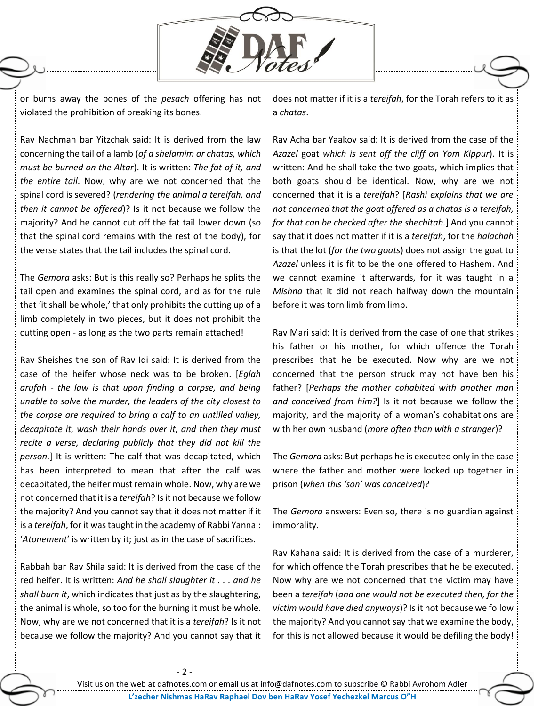

or burns away the bones of the *pesach* offering has not violated the prohibition of breaking its bones.

does not matter if it is a *tereifah*, for the Torah refers to it as a *chatas*.

Rav Nachman bar Yitzchak said: It is derived from the law concerning the tail of a lamb (*of a shelamim or chatas, which must be burned on the Altar*). It is written: *The fat of it, and the entire tail*. Now, why are we not concerned that the spinal cord is severed? (*rendering the animal a tereifah, and then it cannot be offered*)? Is it not because we follow the majority? And he cannot cut off the fat tail lower down (so that the spinal cord remains with the rest of the body), for the verse states that the tail includes the spinal cord.

The *Gemora* asks: But is this really so? Perhaps he splits the tail open and examines the spinal cord, and as for the rule that 'it shall be whole,' that only prohibits the cutting up of a limb completely in two pieces, but it does not prohibit the cutting open - as long as the two parts remain attached!

Rav Sheishes the son of Rav Idi said: It is derived from the case of the heifer whose neck was to be broken. [*Eglah arufah* - *the law is that upon finding a corpse, and being unable to solve the murder, the leaders of the city closest to the corpse are required to bring a calf to an untilled valley, decapitate it, wash their hands over it, and then they must recite a verse, declaring publicly that they did not kill the person*.] It is written: The calf that was decapitated, which has been interpreted to mean that after the calf was decapitated, the heifer must remain whole. Now, why are we not concerned that it is a *tereifah*? Is it not because we follow the majority? And you cannot say that it does not matter if it is a *tereifah*, for it was taught in the academy of Rabbi Yannai: '*Atonement*' is written by it; just as in the case of sacrifices.

Rabbah bar Rav Shila said: It is derived from the case of the red heifer. It is written: *And he shall slaughter it . . . and he shall burn it*, which indicates that just as by the slaughtering, the animal is whole, so too for the burning it must be whole. Now, why are we not concerned that it is a *tereifah*? Is it not because we follow the majority? And you cannot say that it

Rav Acha bar Yaakov said: It is derived from the case of the *Azazel* goat *which is sent off the cliff on Yom Kippur*). It is written: And he shall take the two goats, which implies that both goats should be identical. Now, why are we not concerned that it is a *tereifah*? [*Rashi explains that we are not concerned that the goat offered as a chatas is a tereifah, for that can be checked after the shechitah.*] And you cannot say that it does not matter if it is a *tereifah*, for the *halachah* is that the lot (*for the two goats*) does not assign the goat to *Azazel* unless it is fit to be the one offered to Hashem. And we cannot examine it afterwards, for it was taught in a *Mishna* that it did not reach halfway down the mountain before it was torn limb from limb.

Rav Mari said: It is derived from the case of one that strikes his father or his mother, for which offence the Torah prescribes that he be executed. Now why are we not concerned that the person struck may not have ben his father? [*Perhaps the mother cohabited with another man and conceived from him?*] Is it not because we follow the majority, and the majority of a woman's cohabitations are with her own husband (*more often than with a stranger*)?

The *Gemora* asks: But perhaps he is executed only in the case where the father and mother were locked up together in prison (*when this 'son' was conceived*)?

The *Gemora* answers: Even so, there is no guardian against immorality.

Rav Kahana said: It is derived from the case of a murderer, for which offence the Torah prescribes that he be executed. Now why are we not concerned that the victim may have been a *tereifah* (*and one would not be executed then, for the victim would have died anyways*)? Is it not because we follow the majority? And you cannot say that we examine the body, for this is not allowed because it would be defiling the body!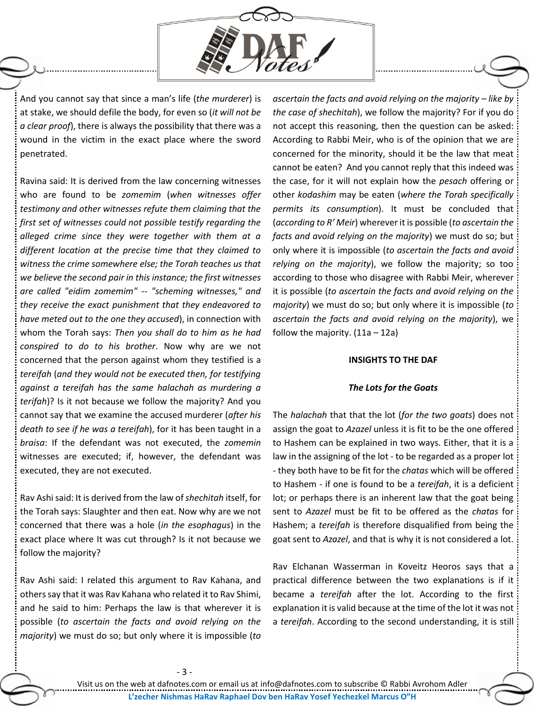

And you cannot say that since a man's life (*the murderer*) is at stake, we should defile the body, for even so (*it will not be a clear proof*), there is always the possibility that there was a wound in the victim in the exact place where the sword penetrated.

Ravina said: It is derived from the law concerning witnesses who are found to be *zomemim* (*when witnesses offer testimony and other witnesses refute them claiming that the first set of witnesses could not possible testify regarding the alleged crime since they were together with them at a different location at the precise time that they claimed to witness the crime somewhere else; the Torah teaches us that we believe the second pair in this instance; the first witnesses are called "eidim zomemim" -- "scheming witnesses," and they receive the exact punishment that they endeavored to have meted out to the one they accused*), in connection with whom the Torah says: *Then you shall do to him as he had conspired to do to his brother*. Now why are we not concerned that the person against whom they testified is a *tereifah* (*and they would not be executed then, for testifying against a tereifah has the same halachah as murdering a terifah*)? Is it not because we follow the majority? And you cannot say that we examine the accused murderer (*after his death to see if he was a tereifah*), for it has been taught in a *braisa*: If the defendant was not executed, the *zomemin* witnesses are executed; if, however, the defendant was executed, they are not executed.

Rav Ashi said: It is derived from the law of *shechitah* itself, for the Torah says: Slaughter and then eat. Now why are we not concerned that there was a hole (*in the esophagus*) in the exact place where It was cut through? Is it not because we follow the majority?

Rav Ashi said: I related this argument to Rav Kahana, and others say that it was Rav Kahana who related it to Rav Shimi, and he said to him: Perhaps the law is that wherever it is possible (*to ascertain the facts and avoid relying on the majority*) we must do so; but only where it is impossible (*to* 

ascertain the facts and avoid relying on the majority – like by *the case of shechitah*), we follow the majority? For if you do not accept this reasoning, then the question can be asked: According to Rabbi Meir, who is of the opinion that we are concerned for the minority, should it be the law that meat cannot be eaten? And you cannot reply that this indeed was the case, for it will not explain how the *pesach* offering or other *kodashim* may be eaten (*where the Torah specifically permits its consumption*). It must be concluded that (*according to R' Meir*) wherever it is possible (*to ascertain the facts and avoid relying on the majority*) we must do so; but only where it is impossible (*to ascertain the facts and avoid relying on the majority*), we follow the majority; so too according to those who disagree with Rabbi Meir, wherever it is possible (*to ascertain the facts and avoid relying on the majority*) we must do so; but only where it is impossible (*to ascertain the facts and avoid relying on the majority*), we follow the majority.  $(11a - 12a)$ 

#### **INSIGHTS TO THE DAF**

## *The Lots for the Goats*

The *halachah* that that the lot (*for the two goats*) does not assign the goat to *Azazel* unless it is fit to be the one offered to Hashem can be explained in two ways. Either, that it is a law in the assigning of the lot - to be regarded as a proper lot - they both have to be fit for the *chatas* which will be offered to Hashem - if one is found to be a *tereifah*, it is a deficient lot; or perhaps there is an inherent law that the goat being sent to *Azazel* must be fit to be offered as the *chatas* for Hashem; a *tereifah* is therefore disqualified from being the goat sent to *Azazel*, and that is why it is not considered a lot.

Rav Elchanan Wasserman in Koveitz Heoros says that a practical difference between the two explanations is if it became a *tereifah* after the lot. According to the first explanation it is valid because at the time of the lot it was not a *tereifah*. According to the second understanding, it is still